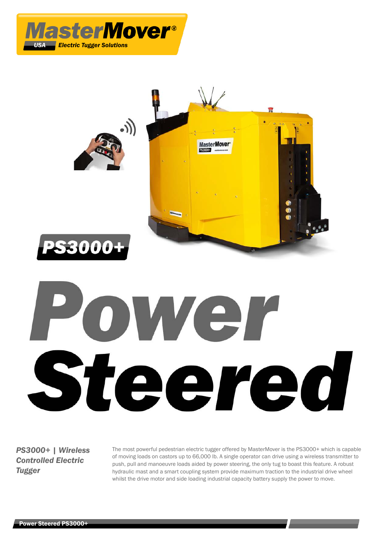



# OWET Steered

*PS3000+ | Wireless Controlled Electric Tugger*

The most powerful pedestrian electric tugger offered by MasterMover is the PS3000+ which is capable of moving loads on castors up to 66,000 lb. A single operator can drive using a wireless transmitter to push, pull and manoeuvre loads aided by power steering, the only tug to boast this feature. A robust hydraulic mast and a smart coupling system provide maximum traction to the industrial drive wheel whilst the drive motor and side loading industrial capacity battery supply the power to move.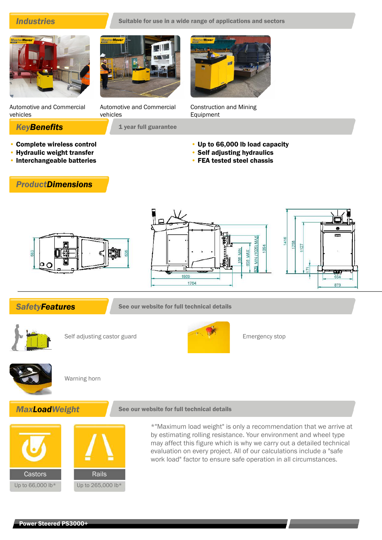# **Industries** Suitable for use in a wide range of applications and sectors

Automotive and Commercial vehicles

- Complete wireless control
- Hydraulic weight transfer
- Interchangeable batteries

Automotive and Commercial vehicles

**KeyBenefits** 1 year full guarantee



Construction and Mining Equipment

- Up to 66,000 lb load capacity
- Self adjusting hydraulics
- FEA tested steel chassis





**SafetyFeatures** See our website for full technical details



Self adjusting castor guard Emergency stop





Warning horn

# **MaxLoadWeight** See our website for full technical details



\*"Maximum load weight" is only a recommendation that we arrive at by estimating rolling resistance. Your environment and wheel type may affect this figure which is why we carry out a detailed technical evaluation on every project. All of our calculations include a "safe work load" factor to ensure safe operation in all circumstances.

# *ProductDimensions*

#### Power Steered PS3000+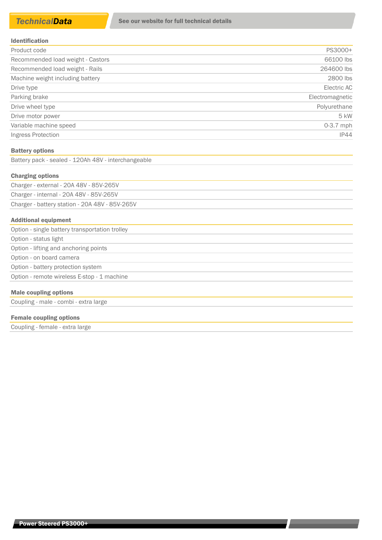| <b>Identification</b> |  |  |  |  |  |  |  |  |  |  |  |  |
|-----------------------|--|--|--|--|--|--|--|--|--|--|--|--|
|-----------------------|--|--|--|--|--|--|--|--|--|--|--|--|

| Product code                      | PS3000+         |
|-----------------------------------|-----------------|
| Recommended load weight - Castors | 66100 lbs       |
| Recommended load weight - Rails   | 264600 lbs      |
| Machine weight including battery  | 2800 lbs        |
| Drive type                        | Electric AC     |
| Parking brake                     | Electromagnetic |
| Drive wheel type                  | Polyurethane    |
| Drive motor power                 | 5 kW            |
| Variable machine speed            | $0-3.7$ mph     |
| Ingress Protection                | <b>IP44</b>     |

#### Battery options

Battery pack - sealed - 120Ah 48V - interchangeable

#### Charging options

Charger - external - 20A 48V - 85V-265V Charger - internal - 20A 48V - 85V-265V Charger - battery station - 20A 48V - 85V-265V

#### Additional equipment

| Option - single battery transportation trolley |
|------------------------------------------------|
| Option - status light                          |
| Option - lifting and anchoring points          |
| Option - on board camera                       |
| Option - battery protection system             |
| Option - remote wireless E-stop - 1 machine    |
| <b>Male coupling options</b>                   |
| Coupling - male - combi - extra large          |
|                                                |

### Female coupling options

Coupling - female - extra large